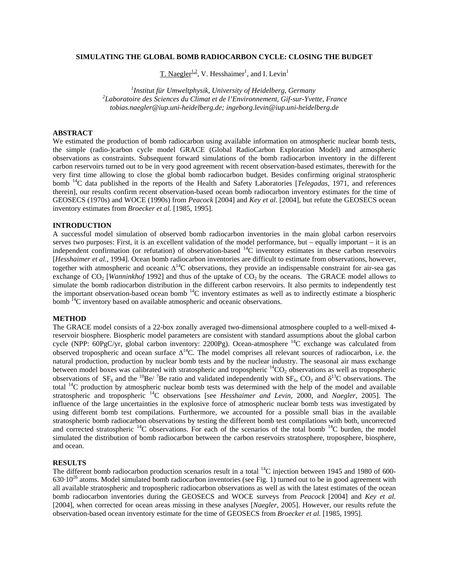## **SIMULATING THE GLOBAL BOMB RADIOCARBON CYCLE: CLOSING THE BUDGET**

T. Naegler<sup>1,2</sup>, V. Hesshaimer<sup>1</sup>, and I. Levin<sup>1</sup>

<sup>1</sup>Institut für Umweltphysik, University of Heidelberg, Germany *Institut für Umweltphysik, University of Heidelberg, Germany 2Laboratoire des Sciences du Climat et de l'Environnement, Gif-sur-Yvette, France tobias.naegler@iup.uni-heidelberg.de; ingeborg.levin@iup.uni-heidelberg.de* 

# **ABSTRACT**

We estimated the production of bomb radiocarbon using available information on atmospheric nuclear bomb tests, the simple (radio-)carbon cycle model GRACE (Global RadioCarbon Exploration Model) and atmospheric observations as constraints. Subsequent forward simulations of the bomb radiocarbon inventory in the different carbon reservoirs turned out to be in very good agreement with recent observation-based estimates, therewith for the very first time allowing to close the global bomb radiocarbon budget. Besides confirming original stratospheric bomb 14C data published in the reports of the Health and Safety Laboratories [*Telegadas*, 1971, and references therein], our results confirm recent observation-based ocean bomb radiocarbon inventory estimates for the time of GEOSECS (1970s) and WOCE (1990s) from *Peacock* [2004] and *Key et al*. [2004], but refute the GEOSECS ocean inventory estimates from *Broecker et al.* [1985, 1995].

## **INTRODUCTION**

A successful model simulation of observed bomb radiocarbon inventories in the main global carbon reservoirs serves two purposes: First, it is an excellent validation of the model performance, but – equally important – it is an independent confirmation (or refutation) of observation-based 14C inventory estimates in these carbon reservoirs [*Hesshaimer et al.,* 1994]. Ocean bomb radiocarbon inventories are difficult to estimate from observations, however, together with atmospheric and oceanic  $\Delta^{14}$ C observations, they provide an indispensable constraint for air-sea gas exchange of  $CO<sub>2</sub>$  [*Wanninkhof* 1992] and thus of the uptake of  $CO<sub>2</sub>$  by the oceans. The GRACE model allows to simulate the bomb radiocarbon distribution in the different carbon reservoirs. It also permits to independently test the important observation-based ocean bomb 14C inventory estimates as well as to indirectly estimate a biospheric bomb  ${}^{I4}C$  inventory based on available atmospheric and oceanic observations.

#### **METHOD**

The GRACE model consists of a 22-box zonally averaged two-dimensional atmosphere coupled to a well-mixed 4 reservoir biosphere. Biospheric model parameters are consistent with standard assumptions about the global carbon cycle (NPP: 60PgC/yr, global carbon inventory: 2200Pg). Ocean-atmosphere <sup>14</sup>C exchange was calculated from observed tropospheric and ocean surface  $\Delta^{14}$ C. The model comprises all relevant sources of radiocarbon, i.e. the natural production, production by nuclear bomb tests and by the nuclear industry. The seasonal air mass exchange between model boxes was calibrated with stratospheric and tropospheric  ${}^{14}CO_2$  observations as well as tropospheric observations of  $SF_6$  and the <sup>10</sup>Be/ <sup>7</sup>Be ratio and validated independently with  $SF_6$ ,  $CO_2$  and  $\delta^{13}C$  observations. The total <sup>14</sup>C production by atmospheric nuclear bomb tests was determined with the help of the model and available stratospheric and tropospheric 14C observations [see *Hesshaimer and Levin,* 2000, and *Naegler*, 2005]. The influence of the large uncertainties in the explosive force of atmospheric nuclear bomb tests was investigated by using different bomb test compilations. Furthermore, we accounted for a possible small bias in the available stratospheric bomb radiocarbon observations by testing the different bomb test compilations with both, uncorrected and corrected stratospheric  $^{14}C$  observations. For each of the scenarios of the total bomb  $^{14}C$  burden, the model simulated the distribution of bomb radiocarbon between the carbon reservoirs stratosphere, troposphere, biosphere, and ocean.

#### **RESULTS**

The different bomb radiocarbon production scenarios result in a total  $^{14}$ C injection between 1945 and 1980 of 600- $630·10<sup>26</sup>$  atoms. Model simulated bomb radiocarbon inventories (see Fig. 1) turned out to be in good agreement with all available stratospheric and tropospheric radiocarbon observations as well as with the latest estimates of the ocean bomb radiocarbon inventories during the GEOSECS and WOCE surveys from *Peacock* [2004] and *Key et al.* [2004], when corrected for ocean areas missing in these analyses [*Naegler*, 2005]. However, our results refute the observation-based ocean inventory estimate for the time of GEOSECS from *Broecker et al.* [1985, 1995].